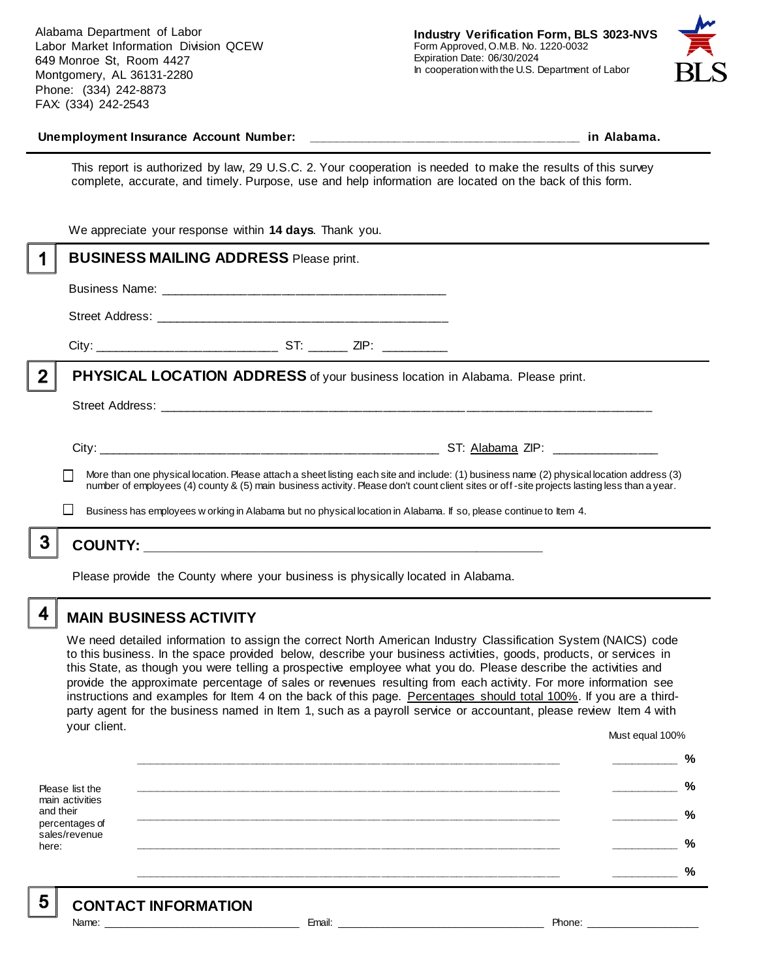Alabama Department of Labor Labor Market Information Division QCEW 649 Monroe St, Room 4427 Montgomery, AL 36131-2280 Phone: (334) 242-8873 FAX: (334) 242-2543



#### **Unemployment Insurance Account Number: \_\_\_\_\_\_\_\_\_\_\_\_\_\_\_\_\_\_\_\_\_\_\_\_\_\_\_\_\_\_\_\_\_\_\_\_\_\_\_\_ in Alabama.**

This report is authorized by law, 29 U.S.C. 2. Your cooperation is needed to make the results of this survey complete, accurate, and timely. Purpose, use and help information are located on the back of this form.

|   | We appreciate your response within 14 days. Thank you.                                                                                                                                                                                                                                                                                                                                                        |
|---|---------------------------------------------------------------------------------------------------------------------------------------------------------------------------------------------------------------------------------------------------------------------------------------------------------------------------------------------------------------------------------------------------------------|
|   | <b>BUSINESS MAILING ADDRESS Please print.</b>                                                                                                                                                                                                                                                                                                                                                                 |
|   |                                                                                                                                                                                                                                                                                                                                                                                                               |
|   |                                                                                                                                                                                                                                                                                                                                                                                                               |
|   |                                                                                                                                                                                                                                                                                                                                                                                                               |
| 2 | PHYSICAL LOCATION ADDRESS of your business location in Alabama. Please print.                                                                                                                                                                                                                                                                                                                                 |
|   |                                                                                                                                                                                                                                                                                                                                                                                                               |
|   | More than one physical location. Please attach a sheet listing each site and include: (1) business name (2) physical location address (3)<br>number of employees (4) county & (5) main business activity. Please don't count client sites or off-site projects lasting less than a year.<br>Business has employees w orking in Alabama but no physical location in Alabama. If so, please continue to Item 4. |
|   |                                                                                                                                                                                                                                                                                                                                                                                                               |
|   |                                                                                                                                                                                                                                                                                                                                                                                                               |

Please provide the County where your business is physically located in Alabama.

4

5

# **MAIN BUSINESS ACTIVITY**

We need detailed information to assign the correct North American Industry Classification System (NAICS) code to this business. In the space provided below, describe your business activities, goods, products, or services in this State, as though you were telling a prospective employee what you do. Please describe the activities and provide the approximate percentage of sales or revenues resulting from each activity. For more information see instructions and examples for Item 4 on the back of this page. Percentages should total 100%. If you are a thirdparty agent for the business named in Item 1, such as a payroll service or accountant, please review Item 4 with your client. Must equal 100%

Please list the main activities and their percentages of sales/revenue here: **\_\_\_\_\_\_\_\_\_\_\_\_\_\_\_\_\_\_\_\_\_\_\_\_\_\_\_\_\_\_\_\_\_\_\_\_\_\_\_\_\_\_\_\_\_\_\_\_\_\_\_\_\_\_\_\_\_\_\_\_\_\_ \_\_\_\_\_\_\_\_\_\_ % \_\_\_\_\_\_\_\_\_\_\_\_\_\_\_\_\_\_\_\_\_\_\_\_\_\_\_\_\_\_\_\_\_\_\_\_\_\_\_\_\_\_\_\_\_\_\_\_\_\_\_\_\_\_\_\_\_\_\_\_\_\_ \_\_\_\_\_\_\_\_\_\_ % \_\_\_\_\_\_\_\_\_\_\_\_\_\_\_\_\_\_\_\_\_\_\_\_\_\_\_\_\_\_\_\_\_\_\_\_\_\_\_\_\_\_\_\_\_\_\_\_\_\_\_\_\_\_\_\_\_\_\_\_\_\_ \_\_\_\_\_\_\_\_\_\_ % \_\_\_\_\_\_\_\_\_\_\_\_\_\_\_\_\_\_\_\_\_\_\_\_\_\_\_\_\_\_\_\_\_\_\_\_\_\_\_\_\_\_\_\_\_\_\_\_\_\_\_\_\_\_\_\_\_\_\_\_\_\_ \_\_\_\_\_\_\_\_\_\_ % \_\_\_\_\_\_\_\_\_\_\_\_\_\_\_\_\_\_\_\_\_\_\_\_\_\_\_\_\_\_\_\_\_\_\_\_\_\_\_\_\_\_\_\_\_\_\_\_\_\_\_\_\_\_\_\_\_\_\_\_\_\_ \_\_\_\_\_\_\_\_\_\_ %**